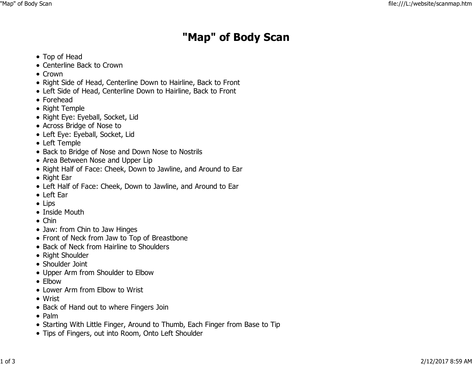## "Map" of Body Scan

- Top of Head
- Centerline Back to Crown
- Crown
- Right Side of Head, Centerline Down to Hairline, Back to Front
- Left Side of Head, Centerline Down to Hairline, Back to Front
- Forehead
- Right Temple
- Right Eye: Eyeball, Socket, Lid
- Across Bridge of Nose to
- Left Eye: Eyeball, Socket, Lid
- Left Temple
- Back to Bridge of Nose and Down Nose to Nostrils
- Area Between Nose and Upper Lip
- Right Half of Face: Cheek, Down to Jawline, and Around to Ear
- Right Ear
- Left Half of Face: Cheek, Down to Jawline, and Around to Ear
- Left Ear
- Lips
- Inside Mouth
- Chin
- Jaw: from Chin to Jaw Hinges
- Front of Neck from Jaw to Top of Breastbone
- Back of Neck from Hairline to Shoulders
- Right Shoulder
- Shoulder Joint
- Upper Arm from Shoulder to Elbow
- Elbow
- Lower Arm from Elbow to Wrist
- Wrist
- Back of Hand out to where Fingers Join
- Palm
- Starting With Little Finger, Around to Thumb, Each Finger from Base to Tip
- Tips of Fingers, out into Room, Onto Left Shoulder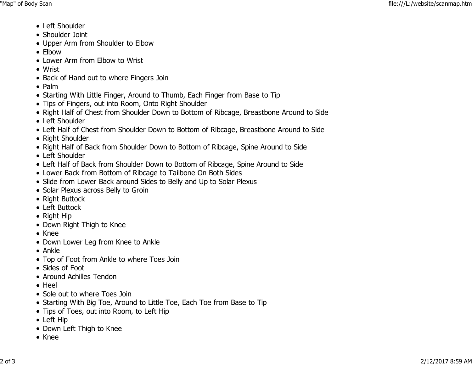- Left Shoulder
- Shoulder Joint
- Upper Arm from Shoulder to Elbow
- Elbow
- Lower Arm from Elbow to Wrist
- Wrist
- Back of Hand out to where Fingers Join
- Palm
- Starting With Little Finger, Around to Thumb, Each Finger from Base to Tip
- Tips of Fingers, out into Room, Onto Right Shoulder
- Right Half of Chest from Shoulder Down to Bottom of Ribcage, Breastbone Around to Side
- Left Shoulder
- Left Half of Chest from Shoulder Down to Bottom of Ribcage, Breastbone Around to Side
- Right Shoulder
- Right Half of Back from Shoulder Down to Bottom of Ribcage, Spine Around to Side
- Left Shoulder
- Left Half of Back from Shoulder Down to Bottom of Ribcage, Spine Around to Side
- Lower Back from Bottom of Ribcage to Tailbone On Both Sides
- Slide from Lower Back around Sides to Belly and Up to Solar Plexus
- Solar Plexus across Belly to Groin
- Right Buttock
- Left Buttock
- Right Hip
- Down Right Thigh to Knee
- Knee
- Down Lower Leg from Knee to Ankle
- Ankle
- Top of Foot from Ankle to where Toes Join
- Sides of Foot
- Around Achilles Tendon
- Heel
- Sole out to where Toes Join
- Starting With Big Toe, Around to Little Toe, Each Toe from Base to Tip
- Tips of Toes, out into Room, to Left Hip
- Left Hip
- Down Left Thigh to Knee
- Knee